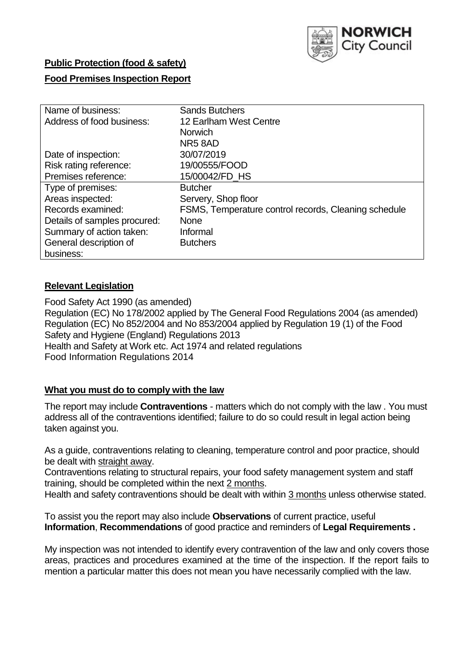

# **Public Protection (food & safety)**

### **Food Premises Inspection Report**

| Name of business:            | <b>Sands Butchers</b>                                |
|------------------------------|------------------------------------------------------|
| Address of food business:    | 12 Earlham West Centre                               |
|                              | <b>Norwich</b>                                       |
|                              | NR58AD                                               |
| Date of inspection:          | 30/07/2019                                           |
| Risk rating reference:       | 19/00555/FOOD                                        |
| Premises reference:          | 15/00042/FD_HS                                       |
| Type of premises:            | <b>Butcher</b>                                       |
| Areas inspected:             | Servery, Shop floor                                  |
| Records examined:            | FSMS, Temperature control records, Cleaning schedule |
| Details of samples procured: | <b>None</b>                                          |
| Summary of action taken:     | Informal                                             |
| General description of       | <b>Butchers</b>                                      |
| business:                    |                                                      |

### **Relevant Legislation**

Food Safety Act 1990 (as amended) Regulation (EC) No 178/2002 applied by The General Food Regulations 2004 (as amended) Regulation (EC) No 852/2004 and No 853/2004 applied by Regulation 19 (1) of the Food Safety and Hygiene (England) Regulations 2013 Health and Safety at Work etc. Act 1974 and related regulations Food Information Regulations 2014

# **What you must do to comply with the law**

The report may include **Contraventions** - matters which do not comply with the law . You must address all of the contraventions identified; failure to do so could result in legal action being taken against you.

As a guide, contraventions relating to cleaning, temperature control and poor practice, should be dealt with straight away.

Contraventions relating to structural repairs, your food safety management system and staff training, should be completed within the next 2 months.

Health and safety contraventions should be dealt with within 3 months unless otherwise stated.

To assist you the report may also include **Observations** of current practice, useful **Information**, **Recommendations** of good practice and reminders of **Legal Requirements .**

My inspection was not intended to identify every contravention of the law and only covers those areas, practices and procedures examined at the time of the inspection. If the report fails to mention a particular matter this does not mean you have necessarily complied with the law.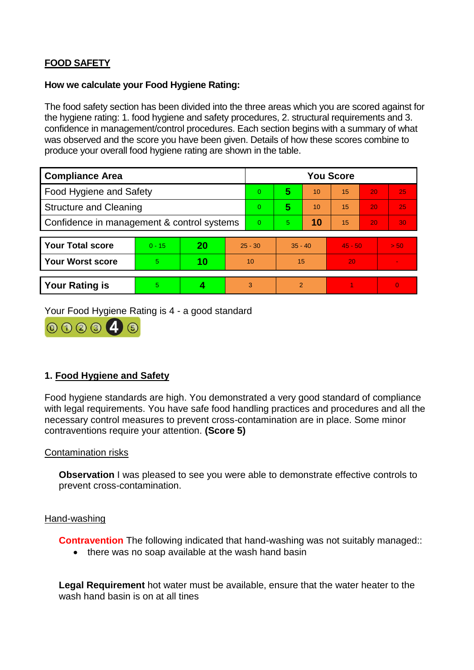# **FOOD SAFETY**

#### **How we calculate your Food Hygiene Rating:**

The food safety section has been divided into the three areas which you are scored against for the hygiene rating: 1. food hygiene and safety procedures, 2. structural requirements and 3. confidence in management/control procedures. Each section begins with a summary of what was observed and the score you have been given. Details of how these scores combine to produce your overall food hygiene rating are shown in the table.

| <b>Compliance Area</b>                     |          |    |    | <b>You Score</b> |                |    |           |    |                |  |  |
|--------------------------------------------|----------|----|----|------------------|----------------|----|-----------|----|----------------|--|--|
| Food Hygiene and Safety                    |          |    |    | $\Omega$         | 5              | 10 | 15        | 20 | 25             |  |  |
| <b>Structure and Cleaning</b>              |          |    |    | $\overline{0}$   | 5              | 10 | 15        | 20 | 25             |  |  |
| Confidence in management & control systems |          |    |    | $\Omega$         | $\overline{5}$ | 10 | 15        | 20 | 30             |  |  |
|                                            |          |    |    |                  |                |    |           |    |                |  |  |
| <b>Your Total score</b>                    | $0 - 15$ | 20 |    | $25 - 30$        | $35 - 40$      |    | $45 - 50$ |    | > 50           |  |  |
| <b>Your Worst score</b>                    | 5        | 10 | 10 |                  | 15             |    | 20        |    | $\blacksquare$ |  |  |
|                                            |          |    |    |                  |                |    |           |    |                |  |  |
| <b>Your Rating is</b>                      | 5        |    |    | 3                | $\overline{2}$ |    |           |    | $\Omega$       |  |  |

Your Food Hygiene Rating is 4 - a good standard



# **1. Food Hygiene and Safety**

Food hygiene standards are high. You demonstrated a very good standard of compliance with legal requirements. You have safe food handling practices and procedures and all the necessary control measures to prevent cross-contamination are in place. Some minor contraventions require your attention. **(Score 5)**

### Contamination risks

**Observation** I was pleased to see you were able to demonstrate effective controls to prevent cross-contamination.

#### Hand-washing

**Contravention** The following indicated that hand-washing was not suitably managed::

• there was no soap available at the wash hand basin

**Legal Requirement** hot water must be available, ensure that the water heater to the wash hand basin is on at all tines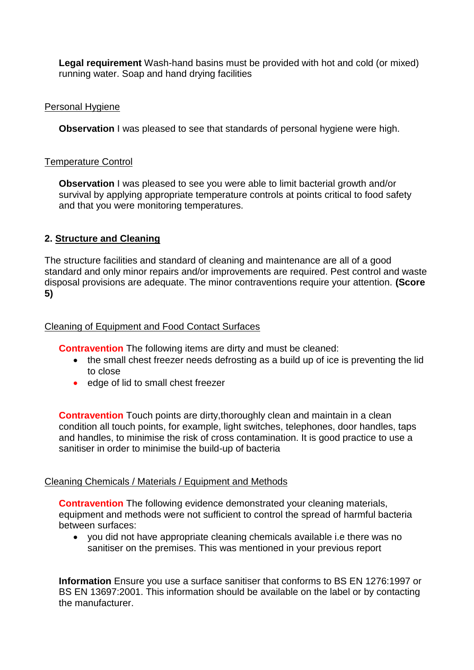**Legal requirement** Wash-hand basins must be provided with hot and cold (or mixed) running water. Soap and hand drying facilities

### Personal Hygiene

**Observation** I was pleased to see that standards of personal hygiene were high.

#### Temperature Control

**Observation I** was pleased to see you were able to limit bacterial growth and/or survival by applying appropriate temperature controls at points critical to food safety and that you were monitoring temperatures.

# **2. Structure and Cleaning**

The structure facilities and standard of cleaning and maintenance are all of a good standard and only minor repairs and/or improvements are required. Pest control and waste disposal provisions are adequate. The minor contraventions require your attention. **(Score 5)**

### Cleaning of Equipment and Food Contact Surfaces

**Contravention** The following items are dirty and must be cleaned:

- the small chest freezer needs defrosting as a build up of ice is preventing the lid to close
- edge of lid to small chest freezer

**Contravention** Touch points are dirty, thoroughly clean and maintain in a clean condition all touch points, for example, light switches, telephones, door handles, taps and handles, to minimise the risk of cross contamination. It is good practice to use a sanitiser in order to minimise the build-up of bacteria

### Cleaning Chemicals / Materials / Equipment and Methods

**Contravention** The following evidence demonstrated your cleaning materials, equipment and methods were not sufficient to control the spread of harmful bacteria between surfaces:

 you did not have appropriate cleaning chemicals available i.e there was no sanitiser on the premises. This was mentioned in your previous report

**Information** Ensure you use a surface sanitiser that conforms to BS EN 1276:1997 or BS EN 13697:2001. This information should be available on the label or by contacting the manufacturer.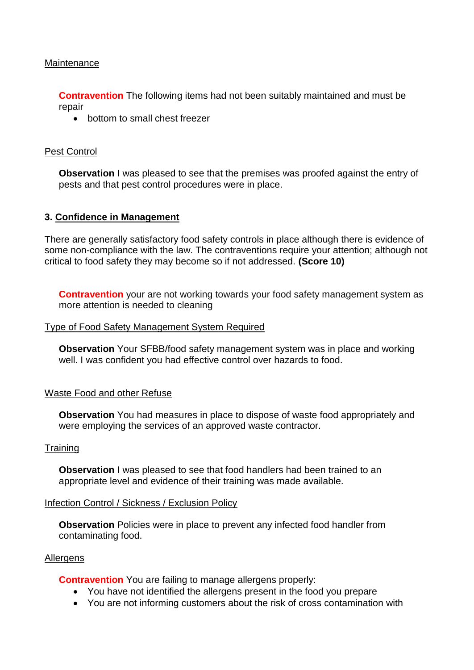### **Maintenance**

**Contravention** The following items had not been suitably maintained and must be repair

• bottom to small chest freezer

#### Pest Control

**Observation** I was pleased to see that the premises was proofed against the entry of pests and that pest control procedures were in place.

#### **3. Confidence in Management**

There are generally satisfactory food safety controls in place although there is evidence of some non-compliance with the law. The contraventions require your attention; although not critical to food safety they may become so if not addressed. **(Score 10)**

**Contravention** your are not working towards your food safety management system as more attention is needed to cleaning

#### Type of Food Safety Management System Required

**Observation** Your SFBB/food safety management system was in place and working well. I was confident you had effective control over hazards to food.

#### Waste Food and other Refuse

**Observation** You had measures in place to dispose of waste food appropriately and were employing the services of an approved waste contractor.

#### **Training**

**Observation** I was pleased to see that food handlers had been trained to an appropriate level and evidence of their training was made available.

#### Infection Control / Sickness / Exclusion Policy

**Observation** Policies were in place to prevent any infected food handler from contaminating food.

#### Allergens

**Contravention** You are failing to manage allergens properly:

- You have not identified the allergens present in the food you prepare
- You are not informing customers about the risk of cross contamination with